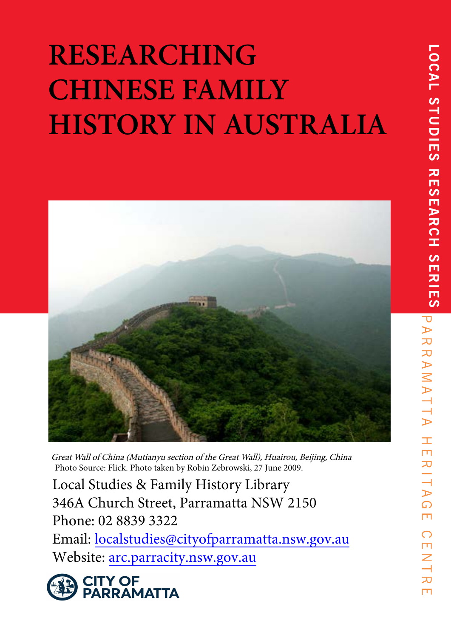# **RESEARCHING CHINESE FAMILY HISTORY IN AUSTRALIA**



Great Wall of China (Mutianyu section of the Great Wall), Huairou, Beijing, China Photo Source: Flick. Photo taken by Robin Zebrowski, 27 June 2009.

Local Studies & Family History Library 346A Church Street, Parramatta NSW 2150 Phone: 02 8839 3322 Email: localstudies@cityofparramatta.nsw.gov.au Website: arc.parracity.nsw.gov.au



 $\pm$  $\overline{\mathbf{u}}$ 

RIT

 $\triangleright$  $\Omega$ m

 $\bigcirc$ m Z

刀

 $\Box$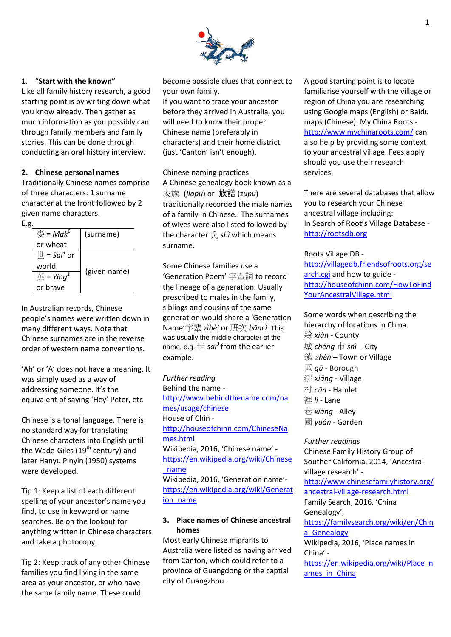

#### 1. "**Start with the known"**

Like all family history research, a good starting point is by writing down what you know already. Then gather as much information as you possibly can through family members and family stories. This can be done through conducting an oral history interview.

#### **2. Chinese personal names**

Traditionally Chinese names comprise of three characters: 1 surname character at the front followed by 2 given name characters.

E.g.

| 麥 = Mak $^6$                       | (surname)    |
|------------------------------------|--------------|
| or wheat                           |              |
| $\#$ = Sai <sup>3</sup> or         |              |
| world                              |              |
| $\overline{H}$ = Ying <sup>1</sup> | (given name) |
| or brave                           |              |

In Australian records, Chinese people's names were written down in many different ways. Note that Chinese surnames are in the reverse order of western name conventions.

'Ah' or 'A' does not have a meaning. It was simply used as a way of addressing someone. It's the equivalent of saying 'Hey' Peter, etc

Chinese is a tonal language. There is no standard way for translating Chinese characters into English until the Wade-Giles  $(19<sup>th</sup>$  century) and later Hanyu Pinyin (1950) systems were developed.

Tip 1: Keep a list of each different spelling of your ancestor's name you find, to use in keyword or name searches. Be on the lookout for anything written in Chinese characters and take a photocopy.

Tip 2: Keep track of any other Chinese families you find living in the same area as your ancestor, or who have the same family name. These could

become possible clues that connect to your own family.

If you want to trace your ancestor before they arrived in Australia, you will need to know their proper Chinese name (preferably in characters) and their home district (just 'Canton' isn't enough).

Chinese naming practices A Chinese genealogy book known as a 家族 (*jiapu*) or 族譜 (z*upu*) traditionally recorded the male names of a family in Chinese. The surnames of wives were also listed followed by the character 氏 *shì* which means surname.

Some Chinese families use a 'Generation Poem' 字輩詞 to record the lineage of a generation. Usually prescribed to males in the family, siblings and cousins of the same generation would share a 'Generation Name'字辈 *zìbèi* or 班次 *bāncì*. This was usually the middle character of the name, e.g.  $\boxplus$  *sai*<sup>3</sup> from the earlier example.

*Further reading* Behind the name [http://www.behindthename.com/na](http://www.behindthename.com/names/usage/chinese) [mes/usage/chinese](http://www.behindthename.com/names/usage/chinese) House of Chin [http://houseofchinn.com/ChineseNa](http://houseofchinn.com/ChineseNames.html) [mes.html](http://houseofchinn.com/ChineseNames.html) Wikipedia, 2016, 'Chinese name' [https://en.wikipedia.org/wiki/Chinese](https://en.wikipedia.org/wiki/Chinese_name) [\\_name](https://en.wikipedia.org/wiki/Chinese_name) Wikipedia, 2016, 'Generation name' [https://en.wikipedia.org/wiki/Generat](https://en.wikipedia.org/wiki/Generation_name) ion name

#### **3. Place names of Chinese ancestral homes**

Most early Chinese migrants to Australia were listed as having arrived from Canton, which could refer to a province of Guangdong or the captial city of Guangzhou.

A good starting point is to locate familiarise yourself with the village or region of China you are researching using Google maps (English) or Baidu maps (Chinese). My China Roots <http://www.mychinaroots.com/> can also help by providing some context to your ancestral village. Fees apply should you use their research services.

There are several databases that allow you to research your Chinese ancestral village including: In Search of Root's Village Database [http://rootsdb.org](http://rootsdb.org/)

Roots Village DB -

[http://villagedb.friendsofroots.org/se](http://villagedb.friendsofroots.org/search.cgi) [arch.cgi](http://villagedb.friendsofroots.org/search.cgi) and how to guide [http://houseofchinn.com/HowToFind](http://houseofchinn.com/HowToFindYourAncestralVillage.html) [YourAncestralVillage.html](http://houseofchinn.com/HowToFindYourAncestralVillage.html)

Some words when describing the hierarchy of locations in China. 縣 *xiàn* - County 城 *chéng* 市 *shì* - City 鎮 <sup>z</sup>*hèn* – Town or Village 區 *qū* - Borough 鄉 *xiāng* - Village 村 *cūn* - Hamlet 裡 *li -* Lane 巷 *xiàng* - Alley 園 *yuán* - Garden

*Further readings* Chinese Family History Group of Souther California, 2014, 'Ancestral village research' [http://www.chinesefamilyhistory.org/](http://www.chinesefamilyhistory.org/ancestral-village-research.html) [ancestral-village-research.html](http://www.chinesefamilyhistory.org/ancestral-village-research.html) Family Search, 2016, 'China Genealogy', [https://familysearch.org/wiki/en/Chin](https://familysearch.org/wiki/en/China_Genealogy) a Genealogy Wikipedia, 2016, 'Place names in China' [https://en.wikipedia.org/wiki/Place\\_n](https://en.wikipedia.org/wiki/Place_names_in_China) ames in China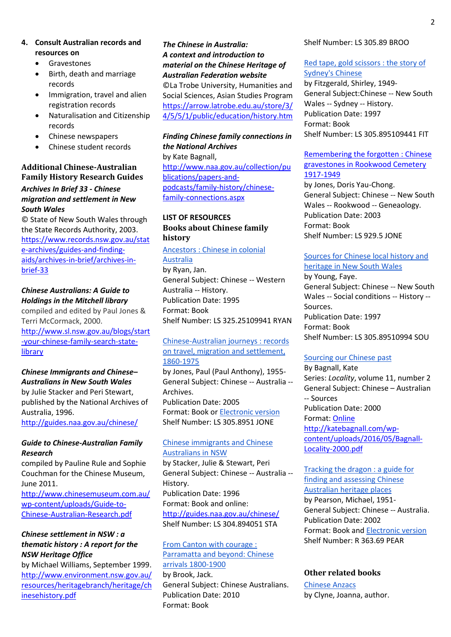- **4. Consult Australian records and resources on**
	- **•** Gravestones
	- Birth, death and marriage records
	- Immigration, travel and alien registration records
	- Naturalisation and Citizenship records
	- Chinese newspapers
	- Chinese student records

#### **Additional Chinese-Australian Family History Research Guides**

#### *Archives In Brief 33 - Chinese migration and settlement in New South Wales*

© State of New South Wales through the State Records Authority, 2003. [https://www.records.nsw.gov.au/stat](https://www.records.nsw.gov.au/state-archives/guides-and-finding-aids/archives-in-brief/archives-in-brief-33) [e-archives/guides-and-finding](https://www.records.nsw.gov.au/state-archives/guides-and-finding-aids/archives-in-brief/archives-in-brief-33)[aids/archives-in-brief/archives-in](https://www.records.nsw.gov.au/state-archives/guides-and-finding-aids/archives-in-brief/archives-in-brief-33)[brief-33](https://www.records.nsw.gov.au/state-archives/guides-and-finding-aids/archives-in-brief/archives-in-brief-33)

## *[Chinese Australians: A Guide to](http://library.sl.nsw.gov.au/record=b2042492~S2)  [Holdings in the Mitchell library](http://library.sl.nsw.gov.au/record=b2042492~S2)*

compiled and edited by Paul Jones & Terri McCormack, 2000.

[http://www.sl.nsw.gov.au/blogs/start](http://www.sl.nsw.gov.au/blogs/start-your-chinese-family-search-state-library) [-your-chinese-family-search-state](http://www.sl.nsw.gov.au/blogs/start-your-chinese-family-search-state-library)[library](http://www.sl.nsw.gov.au/blogs/start-your-chinese-family-search-state-library)

# *Chinese Immigrants and Chinese–*

*Australians in New South Wales* by Julie Stacker and Peri Stewart, published by the National Archives of Australia, 1996.

<http://guides.naa.gov.au/chinese/>

### *Guide to Chinese-Australian Family Research*

compiled by Pauline Rule and Sophie Couchman for the Chinese Museum, June 2011.

[http://www.chinesemuseum.com.au/](http://www.chinesemuseum.com.au/wp-content/uploads/Guide-to-Chinese-Australian-Research.pdf) [wp-content/uploads/Guide-to-](http://www.chinesemuseum.com.au/wp-content/uploads/Guide-to-Chinese-Australian-Research.pdf)[Chinese-Australian-Research.pdf](http://www.chinesemuseum.com.au/wp-content/uploads/Guide-to-Chinese-Australian-Research.pdf)

## *Chinese settlement in NSW : a thematic history : A report for the NSW Heritage Office*

by Michael Williams, September 1999. [http://www.environment.nsw.gov.au/](http://www.environment.nsw.gov.au/resources/heritagebranch/heritage/chinesehistory.pdf) [resources/heritagebranch/heritage/ch](http://www.environment.nsw.gov.au/resources/heritagebranch/heritage/chinesehistory.pdf) [inesehistory.pdf](http://www.environment.nsw.gov.au/resources/heritagebranch/heritage/chinesehistory.pdf)

## *The Chinese in Australia: A context and introduction to material on the Chinese Heritage of Australian Federation website* ©La Trobe University, Humanities and

Social Sciences, Asian Studies Program [https://arrow.latrobe.edu.au/store/3/](https://arrow.latrobe.edu.au/store/3/4/5/5/1/public/education/history.htm) [4/5/5/1/public/education/history.htm](https://arrow.latrobe.edu.au/store/3/4/5/5/1/public/education/history.htm)

# *Finding Chinese family connections in the National Archives*

by Kate Bagnall, [http://www.naa.gov.au/collection/pu](http://www.naa.gov.au/collection/publications/papers-and-podcasts/family-history/chinese-family-connections.aspx) [blications/papers-and](http://www.naa.gov.au/collection/publications/papers-and-podcasts/family-history/chinese-family-connections.aspx)[podcasts/family-history/chinese](http://www.naa.gov.au/collection/publications/papers-and-podcasts/family-history/chinese-family-connections.aspx)[family-connections.aspx](http://www.naa.gov.au/collection/publications/papers-and-podcasts/family-history/chinese-family-connections.aspx)

## **LIST OF RESOURCES Books about Chinese family history**

[Ancestors : Chinese in colonial](http://libcat.parracity.nsw.gov.au/client/en_AU/default/search/detailnonmodal/ent:$002f$002fSD_ILS$002f0$002fSD_ILS:49837/emailReturn?qu=chinese&qf=LIBRARY%09Library%091%3ALOCSTUDIES%09Local+Studies&d=ent%3A%2F%2FSD_ILS%2F0%2FSD_ILS%3A49837%7EILS%7E3%7E15&pe=r%3A000000000000)  [Australia](http://libcat.parracity.nsw.gov.au/client/en_AU/default/search/detailnonmodal/ent:$002f$002fSD_ILS$002f0$002fSD_ILS:49837/emailReturn?qu=chinese&qf=LIBRARY%09Library%091%3ALOCSTUDIES%09Local+Studies&d=ent%3A%2F%2FSD_ILS%2F0%2FSD_ILS%3A49837%7EILS%7E3%7E15&pe=r%3A000000000000)

by Ryan, Jan. General Subject: Chinese -- Western Australia -- History. Publication Date: 1995 Format: Book Shelf Number: LS 325.25109941 RYAN

### [Chinese-Australian journeys : records](http://libcat.parracity.nsw.gov.au/client/en_AU/default/search/detailnonmodal/ent:$002f$002fSD_ILS$002f0$002fSD_ILS:114593/emailReturn?qu=chinese&qf=LIBRARY%09Library%091%3ALOCSTUDIES%09Local+Studies&d=ent%3A%2F%2FSD_ILS%2F0%2FSD_ILS%3A114593%7EILS%7E8%7E15&pe=r%3A000000000000)  [on travel, migration and settlement,](http://libcat.parracity.nsw.gov.au/client/en_AU/default/search/detailnonmodal/ent:$002f$002fSD_ILS$002f0$002fSD_ILS:114593/emailReturn?qu=chinese&qf=LIBRARY%09Library%091%3ALOCSTUDIES%09Local+Studies&d=ent%3A%2F%2FSD_ILS%2F0%2FSD_ILS%3A114593%7EILS%7E8%7E15&pe=r%3A000000000000)  [1860-1975](http://libcat.parracity.nsw.gov.au/client/en_AU/default/search/detailnonmodal/ent:$002f$002fSD_ILS$002f0$002fSD_ILS:114593/emailReturn?qu=chinese&qf=LIBRARY%09Library%091%3ALOCSTUDIES%09Local+Studies&d=ent%3A%2F%2FSD_ILS%2F0%2FSD_ILS%3A114593%7EILS%7E8%7E15&pe=r%3A000000000000)

by Jones, Paul (Paul Anthony), 1955- General Subject: Chinese -- Australia -- Archives. Publication Date: 2005 Format: Book or [Electronic version](http://guides.naa.gov.au/content/20141219-Guide021_tcm48-54599.pdf) Shelf Number: LS 305.8951 JONE

#### [Chinese immigrants and Chinese](http://libcat.parracity.nsw.gov.au/client/en_AU/default/search/detailnonmodal/ent:$002f$002fSD_ILS$002f0$002fSD_ILS:52531/emailReturn?qu=chinese&qf=LIBRARY%09Library%091%3ALOCSTUDIES%09Local+Studies&d=ent%3A%2F%2FSD_ILS%2F0%2FSD_ILS%3A52531%7EILS%7E5%7E15&pe=r%3A000000000000) [Australians in NSW](http://libcat.parracity.nsw.gov.au/client/en_AU/default/search/detailnonmodal/ent:$002f$002fSD_ILS$002f0$002fSD_ILS:52531/emailReturn?qu=chinese&qf=LIBRARY%09Library%091%3ALOCSTUDIES%09Local+Studies&d=ent%3A%2F%2FSD_ILS%2F0%2FSD_ILS%3A52531%7EILS%7E5%7E15&pe=r%3A000000000000)

by Stacker, Julie & Stewart, Peri General Subject: Chinese -- Australia -- History. Publication Date: 1996 Format: Book and online: <http://guides.naa.gov.au/chinese/> Shelf Number: LS 304.894051 STA

#### [From Canton with courage :](http://libcat.parracity.nsw.gov.au/client/en_AU/default/search/detailnonmodal/ent:$002f$002fSD_ILS$002f0$002fSD_ILS:146060/emailReturn?qu=chinese&qf=LIBRARY%09Library%091%3ALOCSTUDIES%09Local+Studies&d=ent%3A%2F%2FSD_ILS%2F0%2FSD_ILS%3A146060%7EILS%7E7%7E15&pe=r%3A000000000000)  [Parramatta and beyond: Chinese](http://libcat.parracity.nsw.gov.au/client/en_AU/default/search/detailnonmodal/ent:$002f$002fSD_ILS$002f0$002fSD_ILS:146060/emailReturn?qu=chinese&qf=LIBRARY%09Library%091%3ALOCSTUDIES%09Local+Studies&d=ent%3A%2F%2FSD_ILS%2F0%2FSD_ILS%3A146060%7EILS%7E7%7E15&pe=r%3A000000000000)  [arrivals 1800-1900](http://libcat.parracity.nsw.gov.au/client/en_AU/default/search/detailnonmodal/ent:$002f$002fSD_ILS$002f0$002fSD_ILS:146060/emailReturn?qu=chinese&qf=LIBRARY%09Library%091%3ALOCSTUDIES%09Local+Studies&d=ent%3A%2F%2FSD_ILS%2F0%2FSD_ILS%3A146060%7EILS%7E7%7E15&pe=r%3A000000000000)

by Brook, Jack. General Subject: Chinese Australians. Publication Date: 2010 Format: Book

#### Shelf Number: LS 305.89 BROO

# [Red tape, gold scissors : the story of](http://libcat.parracity.nsw.gov.au/client/en_AU/default/search/detailnonmodal/ent:$002f$002fSD_ILS$002f0$002fSD_ILS:32358/emailReturn?qu=chinese&qf=LIBRARY%09Library%091%3ALOCSTUDIES%09Local+Studies&d=ent%3A%2F%2FSD_ILS%2F0%2FSD_ILS%3A32358%7EILS%7E12%7E15&pe=r%3A000000000000)  [Sydney's Chinese](http://libcat.parracity.nsw.gov.au/client/en_AU/default/search/detailnonmodal/ent:$002f$002fSD_ILS$002f0$002fSD_ILS:32358/emailReturn?qu=chinese&qf=LIBRARY%09Library%091%3ALOCSTUDIES%09Local+Studies&d=ent%3A%2F%2FSD_ILS%2F0%2FSD_ILS%3A32358%7EILS%7E12%7E15&pe=r%3A000000000000)

by Fitzgerald, Shirley, 1949- General Subject:Chinese -- New South Wales -- Sydney -- History. Publication Date: 1997 Format: Book Shelf Number: LS 305.895109441 FIT

# Remembering the forgotten : Chinese gravestones in Rookwood Cemetery 1917-1949

by Jones, Doris Yau-Chong. General Subject: Chinese -- New South Wales -- Rookwood -- Geneaology. Publication Date: 2003 Format: Book Shelf Number: LS 929.5 JONE

## [Sources for Chinese local history and](http://libcat.parracity.nsw.gov.au/client/en_AU/default/search/detailnonmodal/ent:$002f$002fSD_ILS$002f0$002fSD_ILS:7527/emailReturn?qu=chinese&qf=LIBRARY%09Library%091%3ALOCSTUDIES%09Local+Studies&d=ent%3A%2F%2FSD_ILS%2F0%2FSD_ILS%3A7527%7EILS%7E11%7E15&pe=r%3A000000000000)  [heritage in New South Wales](http://libcat.parracity.nsw.gov.au/client/en_AU/default/search/detailnonmodal/ent:$002f$002fSD_ILS$002f0$002fSD_ILS:7527/emailReturn?qu=chinese&qf=LIBRARY%09Library%091%3ALOCSTUDIES%09Local+Studies&d=ent%3A%2F%2FSD_ILS%2F0%2FSD_ILS%3A7527%7EILS%7E11%7E15&pe=r%3A000000000000)

by Young, Faye. General Subject: Chinese -- New South Wales -- Social conditions -- History -- Sources. Publication Date: 1997 Format: Book Shelf Number: LS 305.89510994 SOU

#### [Sourcing our Chinese past](http://katebagnall.com/wp-content/uploads/2016/05/Bagnall-Locality-2000.pdf)

By Bagnall, Kate Series: *Locality*, volume 11, number 2 General Subject: Chinese – Australian -- Sources Publication Date: 2000 Format: [Online](Online%20http:/katebagnall.com/wp-content/uploads/2016/05/Bagnall-Locality-2000.pdf)  [http://katebagnall.com/wp](Online%20http:/katebagnall.com/wp-content/uploads/2016/05/Bagnall-Locality-2000.pdf)[content/uploads/2016/05/Bagnall-](Online%20http:/katebagnall.com/wp-content/uploads/2016/05/Bagnall-Locality-2000.pdf)[Locality-2000.pdf](Online%20http:/katebagnall.com/wp-content/uploads/2016/05/Bagnall-Locality-2000.pdf) 

[Tracking the dragon : a guide for](http://libcat.parracity.nsw.gov.au/client/en_AU/default/search/detailnonmodal/ent:$002f$002fSD_ILS$002f0$002fSD_ILS:63109/emailReturn?qu=chinese&qf=LIBRARY%09Library%091%3ALOCSTUDIES%09Local+Studies&d=ent%3A%2F%2FSD_ILS%2F0%2FSD_ILS%3A63109%7EILS%7E9%7E15&pe=r%3A000000000000)  [finding and assessing Chinese](http://libcat.parracity.nsw.gov.au/client/en_AU/default/search/detailnonmodal/ent:$002f$002fSD_ILS$002f0$002fSD_ILS:63109/emailReturn?qu=chinese&qf=LIBRARY%09Library%091%3ALOCSTUDIES%09Local+Studies&d=ent%3A%2F%2FSD_ILS%2F0%2FSD_ILS%3A63109%7EILS%7E9%7E15&pe=r%3A000000000000)  [Australian heritage places](http://libcat.parracity.nsw.gov.au/client/en_AU/default/search/detailnonmodal/ent:$002f$002fSD_ILS$002f0$002fSD_ILS:63109/emailReturn?qu=chinese&qf=LIBRARY%09Library%091%3ALOCSTUDIES%09Local+Studies&d=ent%3A%2F%2FSD_ILS%2F0%2FSD_ILS%3A63109%7EILS%7E9%7E15&pe=r%3A000000000000) by Pearson, Michael, 1951- General Subject: Chinese -- Australia. Publication Date: 2002 Format: Book an[d Electronic version](https://www.environment.gov.au/system/files/resources/e1d534ad-eb1b-442b-9b5d-f2d54dafa0c8/files/tracking-dragon.pdf) Shelf Number: R 363.69 PEAR

#### **Other related books**

[Chinese Anzacs](http://libcat.parracity.nsw.gov.au/client/en_AU/default/search/detailnonmodal/ent:$002f$002fSD_ILS$002f0$002fSD_ILS:300505/emailReturn?qu=chinese&qf=LIBRARY%09Library%091%3ALOCSTUDIES%09Local+Studies&d=ent%3A%2F%2FSD_ILS%2F0%2FSD_ILS%3A300505%7EILS%7E1%7E15&pe=r%3A000000000000) by Clyne, Joanna, author.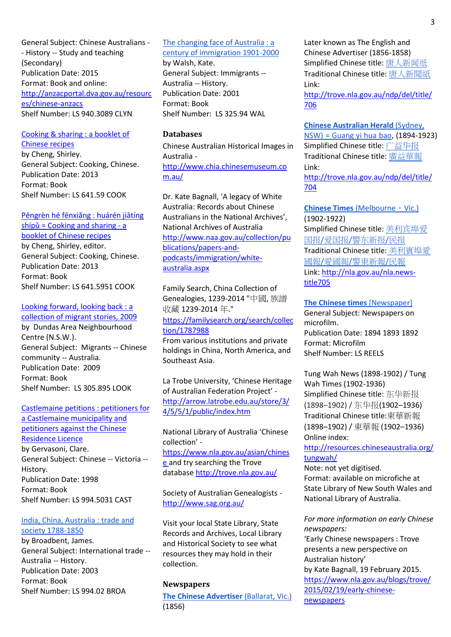General Subject: Chinese Australians - - History -- Study and teaching (Secondary) Publication Date: 2015 Format: Book and online: [http://anzacportal.dva.gov.au/resourc](http://anzacportal.dva.gov.au/resources/chinese-anzacs) [es/chinese-anzacs](http://anzacportal.dva.gov.au/resources/chinese-anzacs) Shelf Number: LS 940.3089 CLYN

#### [Cooking & sharing : a booklet of](http://libcat.parracity.nsw.gov.au/client/en_AU/default/search/detailnonmodal/ent:$002f$002fSD_ILS$002f0$002fSD_ILS:296877/emailReturn?qu=chinese&qf=LIBRARY%09Library%091%3ALOCSTUDIES%09Local+Studies&d=ent%3A%2F%2FSD_ILS%2F0%2FSD_ILS%3A296877%7EILS%7E4%7E15&pe=r%3A000000000000)  [Chinese recipes](http://libcat.parracity.nsw.gov.au/client/en_AU/default/search/detailnonmodal/ent:$002f$002fSD_ILS$002f0$002fSD_ILS:296877/emailReturn?qu=chinese&qf=LIBRARY%09Library%091%3ALOCSTUDIES%09Local+Studies&d=ent%3A%2F%2FSD_ILS%2F0%2FSD_ILS%3A296877%7EILS%7E4%7E15&pe=r%3A000000000000)

by Cheng, Shirley. General Subject: Cooking, Chinese. Publication Date: 2013 Format: Book Shelf Number: LS 641.59 COOK

#### [Pēngrèn hé fēnxiǎng : huárén jiātíng](http://libcat.parracity.nsw.gov.au/client/en_AU/default/search/detailnonmodal/ent:$002f$002fSD_ILS$002f0$002fSD_ILS:296880/emailReturn?qu=chinese&qf=LIBRARY%09Library%091%3ALOCSTUDIES%09Local+Studies&d=ent%3A%2F%2FSD_ILS%2F0%2FSD_ILS%3A296880%7EILS%7E6%7E15&pe=r%3A000000000000)  shípǔ = Co[oking and sharing -](http://libcat.parracity.nsw.gov.au/client/en_AU/default/search/detailnonmodal/ent:$002f$002fSD_ILS$002f0$002fSD_ILS:296880/emailReturn?qu=chinese&qf=LIBRARY%09Library%091%3ALOCSTUDIES%09Local+Studies&d=ent%3A%2F%2FSD_ILS%2F0%2FSD_ILS%3A296880%7EILS%7E6%7E15&pe=r%3A000000000000) a [booklet of Chinese recipes](http://libcat.parracity.nsw.gov.au/client/en_AU/default/search/detailnonmodal/ent:$002f$002fSD_ILS$002f0$002fSD_ILS:296880/emailReturn?qu=chinese&qf=LIBRARY%09Library%091%3ALOCSTUDIES%09Local+Studies&d=ent%3A%2F%2FSD_ILS%2F0%2FSD_ILS%3A296880%7EILS%7E6%7E15&pe=r%3A000000000000)

by Cheng, Shirley, editor. General Subject: Cooking, Chinese. Publication Date: 2013 Format: Book Shelf Number: LS 641.5951 COOK

# Looking forward, looking back : a

[collection of migrant stories, 2009](http://libcat.parracity.nsw.gov.au/client/en_AU/default/search/results?qu=chinese+parramatta.&te=) by Dundas Area Neighbourhood Centre (N.S.W.). General Subject: Migrants -- Chinese community -- Australia. Publication Date: 2009 Format: Book Shelf Number: LS 305.895 LOOK

# [Castlemaine petitions : petitioners for](http://libcat.parracity.nsw.gov.au/client/en_AU/default/search/detailnonmodal/ent:$002f$002fSD_ILS$002f0$002fSD_ILS:113400/emailReturn?qu=chinese&qf=LIBRARY%09Library%091%3ALOCSTUDIES%09Local+Studies&d=ent%3A%2F%2FSD_ILS%2F0%2FSD_ILS%3A113400%7EILS%7E10%7E15&pe=r%3A000000000000)  [a Castlemaine municipality and](http://libcat.parracity.nsw.gov.au/client/en_AU/default/search/detailnonmodal/ent:$002f$002fSD_ILS$002f0$002fSD_ILS:113400/emailReturn?qu=chinese&qf=LIBRARY%09Library%091%3ALOCSTUDIES%09Local+Studies&d=ent%3A%2F%2FSD_ILS%2F0%2FSD_ILS%3A113400%7EILS%7E10%7E15&pe=r%3A000000000000)  [petitioners against the Chinese](http://libcat.parracity.nsw.gov.au/client/en_AU/default/search/detailnonmodal/ent:$002f$002fSD_ILS$002f0$002fSD_ILS:113400/emailReturn?qu=chinese&qf=LIBRARY%09Library%091%3ALOCSTUDIES%09Local+Studies&d=ent%3A%2F%2FSD_ILS%2F0%2FSD_ILS%3A113400%7EILS%7E10%7E15&pe=r%3A000000000000)  [Residence Licence](http://libcat.parracity.nsw.gov.au/client/en_AU/default/search/detailnonmodal/ent:$002f$002fSD_ILS$002f0$002fSD_ILS:113400/emailReturn?qu=chinese&qf=LIBRARY%09Library%091%3ALOCSTUDIES%09Local+Studies&d=ent%3A%2F%2FSD_ILS%2F0%2FSD_ILS%3A113400%7EILS%7E10%7E15&pe=r%3A000000000000) by Gervasoni, Clare. General Subject: Chinese -- Victoria -- History.

Publication Date: 1998 Format: Book Shelf Number: LS 994.5031 CAST

#### [India, China, Australia : trade and](http://libcat.parracity.nsw.gov.au/client/en_AU/default/search/results?qu=trade+china+australia&te=&dt=list)  [society 1788-1850](http://libcat.parracity.nsw.gov.au/client/en_AU/default/search/results?qu=trade+china+australia&te=&dt=list)

by Broadbent, James. General Subject: International trade -- Australia -- History. Publication Date: 2003 Format: Book Shelf Number: LS 994.02 BROA

# [The changing face of Australia : a](http://libcat.parracity.nsw.gov.au/client/en_AU/default/search/results?qu=changing+face+of+australia&te=&dt=list)  [century of immigration 1901-2000](http://libcat.parracity.nsw.gov.au/client/en_AU/default/search/results?qu=changing+face+of+australia&te=&dt=list)

by Walsh, Kate. General Subject: Immigrants -- Australia -- History. Publication Date: 2001 Format: Book Shelf Number: LS 325.94 WAL

## **Databases**

Chinese Australian Historical Images in Australia [http://www.chia.chinesemuseum.co](http://www.chia.chinesemuseum.com.au/) [m.au/](http://www.chia.chinesemuseum.com.au/)

Dr. Kate Bagnall, 'A legacy of White Australia: Records about Chinese Australians in the National Archives', National Archives of Australia [http://www.naa.gov.au/collection/pu](http://www.naa.gov.au/collection/publications/papers-and-podcasts/immigration/white-australia.aspx) [blications/papers-and](http://www.naa.gov.au/collection/publications/papers-and-podcasts/immigration/white-australia.aspx)[podcasts/immigration/white](http://www.naa.gov.au/collection/publications/papers-and-podcasts/immigration/white-australia.aspx)[australia.aspx](http://www.naa.gov.au/collection/publications/papers-and-podcasts/immigration/white-australia.aspx)

Family Search, China Collection of Genealogies, 1239-2014 "中國, 族譜 收藏 1239-2014 年." [https://familysearch.org/search/collec](https://familysearch.org/search/collection/1787988) [tion/1787988](https://familysearch.org/search/collection/1787988)

From various institutions and private holdings in China, North America, and Southeast Asia.

La Trobe University, 'Chinese Heritage of Australian Federation Project' [http://arrow.latrobe.edu.au/store/3/](http://arrow.latrobe.edu.au/store/3/4/5/5/1/public/index.htm) [4/5/5/1/public/index.htm](http://arrow.latrobe.edu.au/store/3/4/5/5/1/public/index.htm)

National Library of Australia 'Chinese collection' [https://www.nla.gov.au/asian/chines](https://www.nla.gov.au/asian/chinese) [e](https://www.nla.gov.au/asian/chinese) and try searching the Trove database <http://trove.nla.gov.au/>

Society of Australian Genealogists <http://www.sag.org.au/>

Visit your local State Library, State Records and Archives, Local Library and Historical Society to see what resources they may hold in their collection.

#### **Newspapers**

**[The Chinese Advertiser](http://trove.nla.gov.au/ndp/del/title/706) (Ballarat, Vic.)** (1856)

Later known as The English and Chinese Advertiser (1856-1858) Simplified Chinese title: [唐人新闻纸](http://trove.nla.gov.au/ndp/del/title/706) Traditional Chinese title: [唐人新聞紙](http://trove.nla.gov.au/ndp/del/title/706) Link: [http://trove.nla.gov.au/ndp/del/title/](http://trove.nla.gov.au/ndp/del/title/706)

[706](http://trove.nla.gov.au/ndp/del/title/706)

**[Chinese Australian Herald](http://trove.nla.gov.au/ndp/del/title/704)** (Sydney, [NSW\) = Guang yi hua bao,](http://trove.nla.gov.au/ndp/del/title/704) (1894-1923) Simplified Chinese title: [广益华报](http://trove.nla.gov.au/ndp/del/title/704) Traditional Chinese title: [廣益華報](http://trove.nla.gov.au/ndp/del/title/704) Link: [http://trove.nla.gov.au/ndp/del/title/](http://trove.nla.gov.au/ndp/del/title/704) [704](http://trove.nla.gov.au/ndp/del/title/704)

**[Chinese Times](http://trove.nla.gov.au/ndp/del/title/705)** (Melbourne, Vic.) (1902-1922) Simplified Chinese title: [美利宾埠爱](http://trove.nla.gov.au/ndp/del/title/705) 国报/爱国报/[警东新报](http://trove.nla.gov.au/ndp/del/title/705)/民报 Traditional Chinese title: [美利賓埠愛](http://trove.nla.gov.au/ndp/del/title/705) 國報/愛國報/[警東新報](http://trove.nla.gov.au/ndp/del/title/705)/民報 Link: [http://nla.gov.au/nla.news](http://nla.gov.au/nla.news-title705)[title705](http://nla.gov.au/nla.news-title705)

**[The Chinese times](http://libcat.parracity.nsw.gov.au/client/en_AU/default/search/detailnonmodal/ent:$002f$002fSD_ILS$002f0$002fSD_ILS:71798/emailReturn?qu=chinese&qf=LIBRARY%09Library%091%3ALOCSTUDIES%09Local+Studies&d=ent%3A%2F%2FSD_ILS%2F0%2FSD_ILS%3A71798%7EILS%7E2%7E15&pe=r%3A000000000000)** [Newspaper] General Subject: Newspapers on microfilm. Publication Date: 1894 1893 1892 Format: Microfilm Shelf Number: LS REELS

Tung Wah News (1898-1902) / Tung Wah Times (1902-1936) Simplified Chinese title: 东华新报 (1898–1902) / 东华报(1902–1936) Traditional Chinese title:東華新報 (1898–1902) / 東華報 (1902–1936) Online index:

[http://resources.chineseaustralia.org/](http://resources.chineseaustralia.org/tungwah/) [tungwah/](http://resources.chineseaustralia.org/tungwah/)

Note: not yet digitised. Format: available on microfiche at State Library of New South Wales and National Library of Australia.

*For more information on early Chinese newspapers:*

'Early Chinese newspapers : Trove presents a new perspective on Australian history' by Kate Bagnall, 19 February 2015. [https://www.nla.gov.au/blogs/trove/](https://www.nla.gov.au/blogs/trove/2015/02/19/early-chinese-newspapers) [2015/02/19/early-chinese](https://www.nla.gov.au/blogs/trove/2015/02/19/early-chinese-newspapers)[newspapers](https://www.nla.gov.au/blogs/trove/2015/02/19/early-chinese-newspapers)